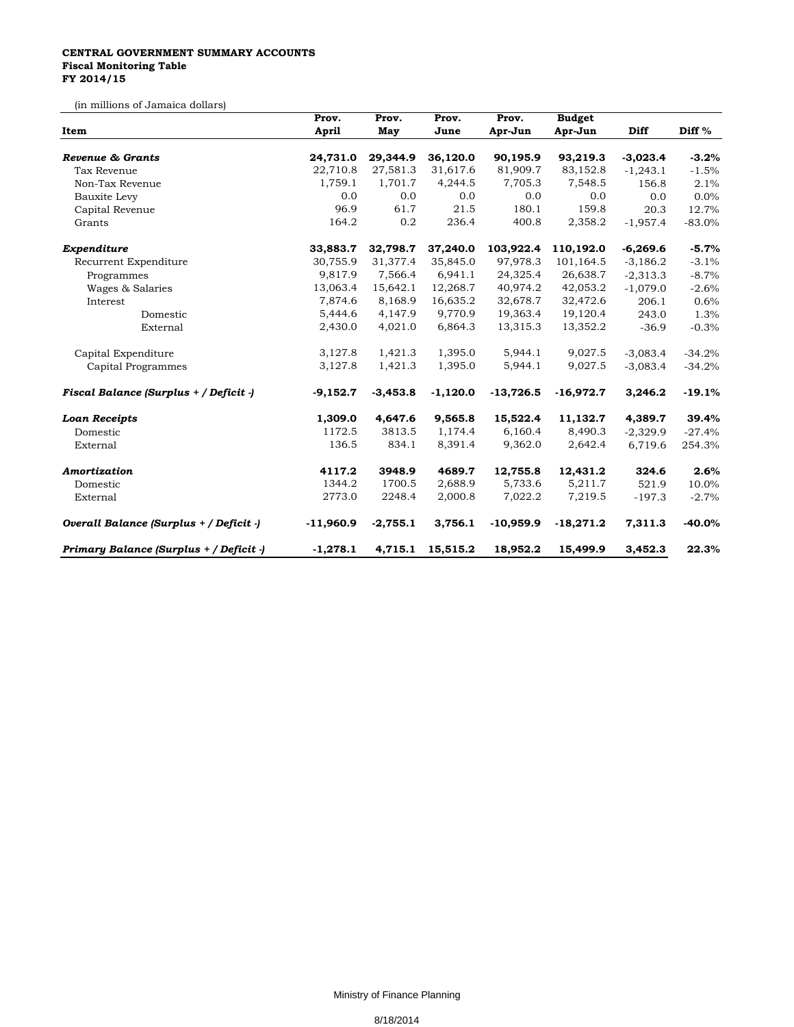## **CENTRAL GOVERNMENT SUMMARY ACCOUNTS Fiscal Monitoring Table FY 2014/15**

(in millions of Jamaica dollars)

| Item                                    | Prov.       | Prov.<br>May | Prov.<br>June | Prov.<br>Apr-Jun | <b>Budget</b><br>Apr-Jun | Diff       | Diff <sup>%</sup> |
|-----------------------------------------|-------------|--------------|---------------|------------------|--------------------------|------------|-------------------|
|                                         | April       |              |               |                  |                          |            |                   |
| Revenue & Grants                        | 24,731.0    | 29,344.9     | 36,120.0      | 90,195.9         | 93,219.3                 | $-3,023.4$ | $-3.2%$           |
| Tax Revenue                             | 22,710.8    | 27,581.3     | 31,617.6      | 81,909.7         | 83,152.8                 | $-1,243.1$ | $-1.5%$           |
| Non-Tax Revenue                         | 1,759.1     | 1,701.7      | 4,244.5       | 7,705.3          | 7,548.5                  | 156.8      | 2.1%              |
| Bauxite Levy                            | 0.0         | 0.0          | 0.0           | 0.0              | 0.0                      | 0.0        | 0.0%              |
| Capital Revenue                         | 96.9        | 61.7         | 21.5          | 180.1            | 159.8                    | 20.3       | 12.7%             |
| Grants                                  | 164.2       | 0.2          | 236.4         | 400.8            | 2,358.2                  | $-1,957.4$ | $-83.0%$          |
| Expenditure                             | 33,883.7    | 32,798.7     | 37,240.0      | 103,922.4        | 110,192.0                | $-6,269.6$ | $-5.7%$           |
| Recurrent Expenditure                   | 30,755.9    | 31,377.4     | 35,845.0      | 97,978.3         | 101,164.5                | $-3,186.2$ | $-3.1%$           |
| Programmes                              | 9,817.9     | 7,566.4      | 6,941.1       | 24,325.4         | 26,638.7                 | $-2,313.3$ | $-8.7%$           |
| Wages & Salaries                        | 13,063.4    | 15,642.1     | 12,268.7      | 40,974.2         | 42,053.2                 | $-1,079.0$ | $-2.6%$           |
| Interest                                | 7,874.6     | 8,168.9      | 16,635.2      | 32,678.7         | 32,472.6                 | 206.1      | 0.6%              |
| Domestic                                | 5,444.6     | 4,147.9      | 9,770.9       | 19,363.4         | 19,120.4                 | 243.0      | 1.3%              |
| External                                | 2,430.0     | 4,021.0      | 6,864.3       | 13,315.3         | 13,352.2                 | $-36.9$    | $-0.3%$           |
| Capital Expenditure                     | 3,127.8     | 1,421.3      | 1,395.0       | 5,944.1          | 9,027.5                  | $-3,083.4$ | $-34.2%$          |
| Capital Programmes                      | 3,127.8     | 1,421.3      | 1,395.0       | 5,944.1          | 9,027.5                  | $-3,083.4$ | $-34.2%$          |
| Fiscal Balance (Surplus + / Deficit -)  | $-9,152.7$  | $-3,453.8$   | $-1,120.0$    | $-13,726.5$      | $-16,972.7$              | 3,246.2    | $-19.1%$          |
| <b>Loan Receipts</b>                    | 1,309.0     | 4,647.6      | 9,565.8       | 15,522.4         | 11,132.7                 | 4,389.7    | 39.4%             |
| Domestic                                | 1172.5      | 3813.5       | 1,174.4       | 6,160.4          | 8,490.3                  | $-2,329.9$ | $-27.4%$          |
| External                                | 136.5       | 834.1        | 8,391.4       | 9,362.0          | 2,642.4                  | 6,719.6    | 254.3%            |
| Amortization                            | 4117.2      | 3948.9       | 4689.7        | 12,755.8         | 12,431.2                 | 324.6      | 2.6%              |
| Domestic                                | 1344.2      | 1700.5       | 2,688.9       | 5,733.6          | 5,211.7                  | 521.9      | 10.0%             |
| External                                | 2773.0      | 2248.4       | 2,000.8       | 7,022.2          | 7,219.5                  | $-197.3$   | $-2.7%$           |
| Overall Balance (Surplus + / Deficit -) | $-11,960.9$ | $-2,755.1$   | 3,756.1       | $-10,959.9$      | $-18,271.2$              | 7,311.3    | $-40.0%$          |
| Primary Balance (Surplus + / Deficit -) | $-1,278.1$  | 4,715.1      | 15,515.2      | 18,952.2         | 15,499.9                 | 3,452.3    | 22.3%             |